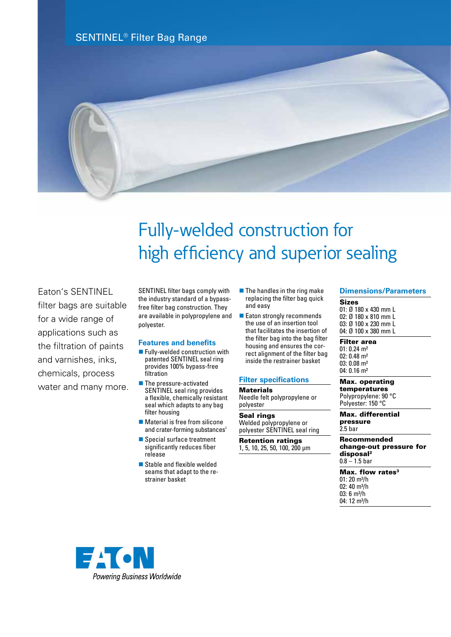



## Fully-welded construction for high efficiency and superior sealing

## Eaton's SENTINEL

filter bags are suitable for a wide range of applications such as the filtration of paints and varnishes, inks, chemicals, process water and many more. SENTINEL filter bags comply with the industry standard of a bypassfree filter bag construction. They are available in polypropylene and polyester.

### **Features and benefits**

- Fully-welded construction with patented SENTINEL seal ring provides 100% bypass-free filtration
- **n** The pressure-activated SENTINEL seal ring provides a flexible, chemically resistant seal which adapts to any bag filter housing
- $\blacksquare$  Material is free from silicone and crater-forming substances<sup>1</sup>
- $\blacksquare$  Special surface treatment significantly reduces fiber release
- $\blacksquare$  Stable and flexible welded seams that adapt to the restrainer basket
- $\blacksquare$  The handles in the ring make replacing the filter bag quick and easy
- $\blacksquare$  Eaton strongly recommends the use of an insertion tool that facilitates the insertion of the filter bag into the bag filter housing and ensures the correct alignment of the filter bag inside the restrainer basket

#### **Filter specifications**

**Materials** Needle felt polypropylene or polyester

Seal rings Welded polypropylene or polyester SENTINEL seal ring

Retention ratings 1, 5, 10, 25, 50, 100, 200 µm

#### **Dimensions/Parameters**

Sizes 01: Ø 180 x 430 mm L 02: Ø 180 x 810 mm L 03: Ø 100 x 230 mm L 04: Ø 100 x 380 mm L

Filter area 01: 0.24 m² 02: 0.48 m² 03: 0.08 m² 04: 0.16 m²

Max. operating temperatures Polypropylene: 90 °C

Polyester: 150 °C

Max. differential pressure 2.5 bar

Recommended change-out pressure for disposal2  $0.8 - 1.5$  bar

Max. flow rates<sup>3</sup> 01: 20 m³/h 02:  $40 \text{ m}^3/h$ 03: 6 m<sup>3</sup>/h 04: 12 m<sup>3</sup>/h